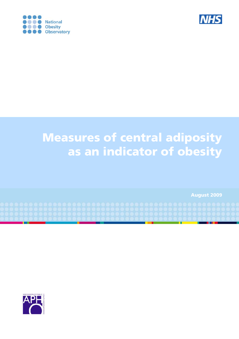



# Measures of central adiposity as an indicator of obesity

August 2009

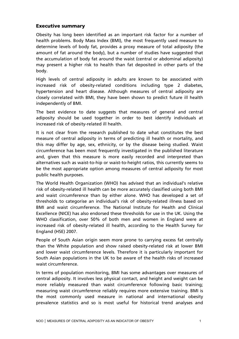#### Executive summary

Obesity has long been identified as an important risk factor for a number of health problems. Body Mass Index (BMI), the most frequently used measure to determine levels of body fat, provides a proxy measure of total adiposity (the amount of fat around the body), but a number of studies have suggested that the accumulation of body fat around the waist (central or abdominal adiposity) may present a higher risk to health than fat deposited in other parts of the body.

High levels of central adiposity in adults are known to be associated with increased risk of obesity-related conditions including type 2 diabetes, hypertension and heart disease. Although measures of central adiposity are closely correlated with BMI, they have been shown to predict future ill health independently of BMI.

The best evidence to date suggests that measures of general and central adiposity should be used together in order to best identify individuals at increased risk of obesity-related ill health.

It is not clear from the research published to date what constitutes the best measure of central adiposity in terms of predicting ill health or mortality, and this may differ by age, sex, ethnicity, or by the disease being studied. Waist circumference has been most frequently investigated in the published literature and, given that this measure is more easily recorded and interpreted than alternatives such as waist-to-hip or waist-to-height ratios, this currently seems to be the most appropriate option among measures of central adiposity for most public health purposes.

The World Health Organization (WHO) has advised that an individual's relative risk of obesity-related ill health can be more accurately classified using both BMI and waist circumference than by either alone. WHO has developed a set of thresholds to categorise an individual's risk of obesity-related illness based on BMI and waist circumference. The National Institute for Health and Clinical Excellence (NICE) has also endorsed these thresholds for use in the UK. Using the WHO classification, over 50% of both men and women in England were at increased risk of obesity-related ill health, according to the Health Survey for England (HSE) 2007.

People of South Asian origin seem more prone to carrying excess fat centrally than the White population and show raised obesity-related risk at lower BMI and lower waist circumference levels. Therefore it is particularly important for South Asian populations in the UK to be aware of the health risks of increased waist circumference.

In terms of population monitoring, BMI has some advantages over measures of central adiposity. It involves less physical contact, and height and weight can be more reliably measured than waist circumference following basic training; measuring waist circumference reliably requires more extensive training. BMI is the most commonly used measure in national and international obesity prevalence statistics and so is most useful for historical trend analyses and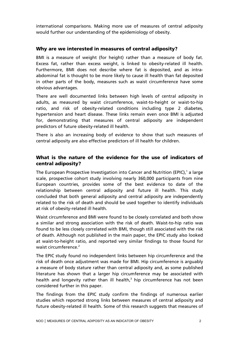international comparisons. Making more use of measures of central adiposity would further our understanding of the epidemiology of obesity.

### Why are we interested in measures of central adiposity?

BMI is a measure of weight (for height) rather than a measure of body fat. Excess fat, rather than excess weight, is linked to obesity-related ill health. Furthermore, BMI does not describe where fat is deposited, and as intraabdominal fat is thought to be more likely to cause ill health than fat deposited in other parts of the body, measures such as waist circumference have some obvious advantages.

There are well documented links between high levels of central adiposity in adults, as measured by waist circumference, waist-to-height or waist-to-hip ratio, and risk of obesity-related conditions including type 2 diabetes, hypertension and heart disease. These links remain even once BMI is adjusted for, demonstrating that measures of central adiposity are independent predictors of future obesity-related ill health.

There is also an increasing body of evidence to show that such measures of central adiposity are also effective predictors of ill health for children.

## What is the nature of the evidence for the use of indicators of central adiposity?

The European Prospective Investigation into Cancer and Nutrition (EPIC),<sup>1</sup> a large scale, prospective cohort study involving nearly 360,000 participants from nine European countries, provides some of the best evidence to date of the relationship between central adiposity and future ill health. This study concluded that both general adiposity and central adiposity are independently related to the risk of death and should be used together to identify individuals at risk of obesity-related ill health.

Waist circumference and BMI were found to be closely correlated and both show a similar and strong association with the risk of death. Waist-to-hip ratio was found to be less closely correlated with BMI, though still associated with the risk of death. Although not published in the main paper, the EPIC study also looked at waist-to-height ratio, and reported very similar findings to those found for waist circumference.<sup>2</sup>

The EPIC study found no independent links between hip circumference and the risk of death once adjustment was made for BMI. Hip circumference is arguably a measure of body stature rather than central adiposity and, as some published literature has shown that a larger hip circumference may be associated with health and longevity rather than ill health,<sup>3</sup> hip circumference has not been considered further in this paper.

The findings from the EPIC study confirm the findings of numerous earlier studies which reported strong links between measures of central adiposity and future obesity-related ill health. Some of this research suggests that measures of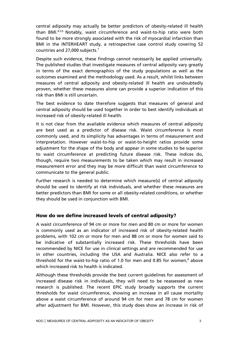central adiposity may actually be better predictors of obesity-related ill health than BMI.4,5,6 Notably, waist circumference and waist-to-hip ratio were both found to be more strongly associated with the risk of myocardial infarction than BMI in the INTERHEART study, a retrospective case control study covering 52 countries and 27,000 subjects.7

Despite such evidence, these findings cannot necessarily be applied universally. The published studies that investigate measures of central adiposity vary greatly in terms of the exact demographics of the study populations as well as the outcomes examined and the methodology used. As a result, whilst links between measures of central adiposity and obesity-related ill health are undoubtedly proven, whether these measures alone can provide a superior indication of this risk than BMI is still uncertain.

The best evidence to date therefore suggests that measures of general and central adiposity should be used together in order to best identify individuals at increased risk of obesity-related ill health.

It is not clear from the available evidence which measures of central adiposity are best used as a predictor of disease risk. Waist circumference is most commonly used, and its simplicity has advantages in terms of measurement and interpretation. However waist-to-hip or waist-to-height ratios provide some adjustment for the shape of the body and appear in some studies to be superior to waist circumference at predicting future disease risk. These indices do, though, require two measurements to be taken which may result in increased measurement error and they may be more difficult than waist circumference to communicate to the general public.

Further research is needed to determine which measure(s) of central adiposity should be used to identify at risk individuals, and whether these measures are better predictors than BMI for some or all obesity-related conditions, or whether they should be used in conjunction with BMI.

#### How do we define increased levels of central adiposity?

A waist circumference of 94 cm or more for men and 80 cm or more for women is commonly used as an indicator of increased risk of obesity-related health problems, with 102 cm or more for men and 88 cm or more for women said to be indicative of substantially increased risk. These thresholds have been recommended by NICE for use in clinical settings and are recommended for use in other countries, including the USA and Australia. NICE also refer to a threshold for the waist-to-hip ratio of 1.0 for men and 0.85 for women, $^8$  above which increased risk to health is indicated.

Although these thresholds provide the best current guidelines for assessment of increased disease risk in individuals, they will need to be reassessed as new research is published. The recent EPIC study broadly supports the current thresholds for waist circumference, showing an increase in all cause mortality above a waist circumference of around 94 cm for men and 78 cm for women after adjustment for BMI. However, this study does show an increase in risk of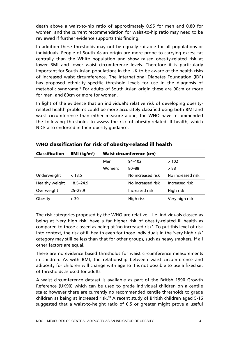death above a waist-to-hip ratio of approximately 0.95 for men and 0.80 for women, and the current recommendation for waist-to-hip ratio may need to be reviewed if further evidence supports this finding.

In addition these thresholds may not be equally suitable for all populations or individuals. People of South Asian origin are more prone to carrying excess fat centrally than the White population and show raised obesity-related risk at lower BMI and lower waist circumference levels. Therefore it is particularly important for South Asian populations in the UK to be aware of the health risks of increased waist circumference. The International Diabetes Foundation (IDF) has proposed ethnicity specific threshold levels for use in the diagnosis of metabolic syndrome.<sup>9</sup> For adults of South Asian origin these are 90cm or more for men, and 80cm or more for women.

In light of the evidence that an individual's relative risk of developing obesityrelated health problems could be more accurately classified using both BMI and waist circumference than either measure alone, the WHO have recommended the following thresholds to assess the risk of obesity-related ill health, which NICE also endorsed in their obesity guidance.

| <b>Classification</b> | BMI ( $\text{kg/m}^2$ ) | <b>Waist circumference (cm)</b> |                   |                   |
|-----------------------|-------------------------|---------------------------------|-------------------|-------------------|
|                       |                         | Men:                            | $94 - 102$        | >102              |
|                       |                         | Women:                          | $80 - 88$         | >88               |
| Underweight           | < 18.5                  |                                 | No increased risk | No increased risk |
| Healthy weight        | $18.5 - 24.9$           |                                 | No increased risk | Increased risk    |
| Overweight            | $25 - 29.9$             |                                 | Increased risk    | High risk         |
| Obesity               | > 30                    |                                 | High risk         | Very high risk    |

#### WHO classification for risk of obesity-related ill health

The risk categories proposed by the WHO are relative – i.e. individuals classed as being at 'very high risk' have a far higher risk of obesity-related ill health as compared to those classed as being at 'no increased risk'. To put this level of risk into context, the risk of ill health even for those individuals in the 'very high risk' category may still be less than that for other groups, such as heavy smokers, if all other factors are equal.

There are no evidence based thresholds for waist circumference measurements in children. As with BMI, the relationship between waist circumference and adiposity for children will change with age so it is not possible to use a fixed set of thresholds as used for adults.

A waist circumference dataset is available as part of the British 1990 Growth Reference (UK90) which can be used to grade individual children on a centile scale; however there are currently no recommended centile thresholds to grade children as being at increased risk.<sup>10</sup> A recent study of British children aged 5-16 suggested that a waist-to-height ratio of 0.5 or greater might prove a useful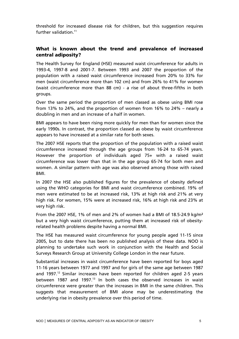threshold for increased disease risk for children, but this suggestion requires further validation. $11$ 

## What is known about the trend and prevalence of increased central adiposity?

The Health Survey for England (HSE) measured waist circumference for adults in 1993-4, 1997-8 and 2001-7. Between 1993 and 2007 the proportion of the population with a raised waist circumference increased from 20% to 33% for men (waist circumference more than 102 cm) and from 26% to 41% for women (waist circumference more than 88 cm) - a rise of about three-fifths in both groups.

Over the same period the proportion of men classed as obese using BMI rose from 13% to 24%, and the proportion of women from 16% to 24% – nearly a doubling in men and an increase of a half in women.

BMI appears to have been rising more quickly for men than for women since the early 1990s. In contrast, the proportion classed as obese by waist circumference appears to have increased at a similar rate for both sexes.

The 2007 HSE reports that the proportion of the population with a raised waist circumference increased through the age groups from 16-24 to 65-74 years. However the proportion of individuals aged 75+ with a raised waist circumference was lower than that in the age group 65-74 for both men and women. A similar pattern with age was also observed among those with raised BMI.

In 2007 the HSE also published figures for the prevalence of obesity defined using the WHO categories for BMI and waist circumference combined. 19% of men were estimated to be at increased risk, 13% at high risk and 21% at very high risk. For women, 15% were at increased risk, 16% at high risk and 23% at very high risk.

From the 2007 HSE, 1% of men and 2% of women had a BMI of 18.5-24.9 kg/m² but a very high waist circumference, putting them at increased risk of obesityrelated health problems despite having a normal BMI.

The HSE has measured waist circumference for young people aged 11-15 since 2005, but to date there has been no published analysis of these data. NOO is planning to undertake such work in conjunction with the Health and Social Surveys Research Group at University College London in the near future.

Substantial increases in waist circumference have been reported for boys aged 11-16 years between 1977 and 1997 and for girls of the same age between 1987 and 1997.<sup>12</sup> Similar increases have been reported for children aged 2-5 years between 1987 and 1997.<sup>13</sup> In both cases the observed increases in waist circumference were greater than the increases in BMI in the same children. This suggests that measurement of BMI alone may be underestimating the underlying rise in obesity prevalence over this period of time.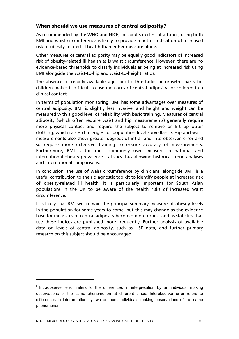## When should we use measures of central adiposity?

As recommended by the WHO and NICE, for adults in clinical settings, using both BMI and waist circumference is likely to provide a better indication of increased risk of obesity-related ill health than either measure alone.

Other measures of central adiposity may be equally good indicators of increased risk of obesity-related ill health as is waist circumference. However, there are no evidence-based thresholds to classify individuals as being at increased risk using BMI alongside the waist-to-hip and waist-to-height ratios.

The absence of readily available age specific thresholds or growth charts for children makes it difficult to use measures of central adiposity for children in a clinical context.

In terms of population monitoring, BMI has some advantages over measures of central adiposity. BMI is slightly less invasive, and height and weight can be measured with a good level of reliability with basic training. Measures of central adiposity (which often require waist and hip measurements) generally require more physical contact and require the subject to remove or lift up outer clothing, which raises challenges for population level surveillance. Hip and waist measurements also show greater degrees of intra- and interobserver<sup>i</sup> error and so require more extensive training to ensure accuracy of measurements. Furthermore, BMI is the most commonly used measure in national and international obesity prevalence statistics thus allowing historical trend analyses and international comparisons.

In conclusion, the use of waist circumference by clinicians, alongside BMI, is a useful contribution to their diagnostic toolkit to identify people at increased risk of obesity-related ill health. It is particularly important for South Asian populations in the UK to be aware of the health risks of increased waist circumference.

It is likely that BMI will remain the principal summary measure of obesity levels in the population for some years to come, but this may change as the evidence base for measures of central adiposity becomes more robust and as statistics that use these indices are published more frequently. Further analysis of available data on levels of central adiposity, such as HSE data, and further primary research on this subject should be encouraged.

<sup>&</sup>lt;sup>i</sup> Intraobserver error refers to the differences in interpretation by an individual making observations of the same phenomenon at different times. Interobserver error refers to differences in interpretation by two or more individuals making observations of the same phenomenon.